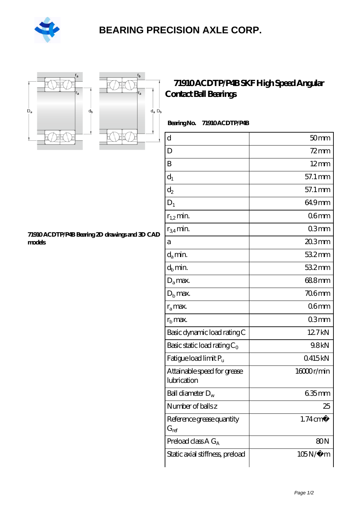

## **[BEARING PRECISION AXLE CORP.](https://m.hilalanaokulu.com)**





## **[71910 ACDTP/P4B SKF High Speed Angular](https://m.hilalanaokulu.com/skf-bearings/71910-acdtp-p4b.html) [Contact Ball Bearings](https://m.hilalanaokulu.com/skf-bearings/71910-acdtp-p4b.html)**

 **Bearing No. 71910 ACDTP/P4B**

| $\rm d$                                    | 50 <sub>mm</sub>    |
|--------------------------------------------|---------------------|
| D                                          | 72 mm               |
| B                                          | $12 \text{mm}$      |
| $d_1$                                      | 57.1 mm             |
| $\mathrm{d}_2$                             | 57.1 mm             |
| $D_1$                                      | 64.9mm              |
| $r_{1,2}$ min.                             | 06 <sub>mm</sub>    |
| $r_{34}$ min.                              | 03mm                |
| a                                          | $203$ mm            |
| $d_a$ min.                                 | 532mm               |
| $d_h$ min.                                 | 532mm               |
| $D_a$ max.                                 | 688mm               |
| $Db$ max.                                  | <b>706mm</b>        |
| $r_a$ max.                                 | 06mm                |
| $rb$ max.                                  | 03mm                |
| Basic dynamic load rating C                | 12.7kN              |
| Basic static load rating $C_0$             | 9.8kN               |
| Fatigue load limit $P_u$                   | 0415kN              |
| Attainable speed for grease<br>lubrication | 16000r/min          |
| Ball diameter $D_w$                        | 635mm               |
| Number of balls z                          | 25                  |
| Reference grease quantity<br>$G_{ref}$     | $1.74 \text{ cm}^3$ |
| Preload class $A G_A$                      | 80 <sub>N</sub>     |
| Static axial stiffness, preload            | $105N/\mu$ m        |

**[71910 ACDTP/P4B Bearing 2D drawings and 3D CAD](https://m.hilalanaokulu.com/pic-660636.html) [models](https://m.hilalanaokulu.com/pic-660636.html)**